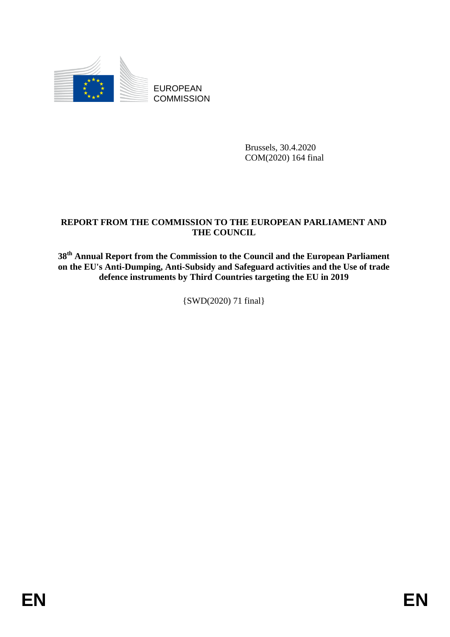

EUROPEAN **COMMISSION** 

> Brussels, 30.4.2020 COM(2020) 164 final

## **REPORT FROM THE COMMISSION TO THE EUROPEAN PARLIAMENT AND THE COUNCIL**

**38th Annual Report from the Commission to the Council and the European Parliament on the EU's Anti-Dumping, Anti-Subsidy and Safeguard activities and the Use of trade defence instruments by Third Countries targeting the EU in 2019**

{SWD(2020) 71 final}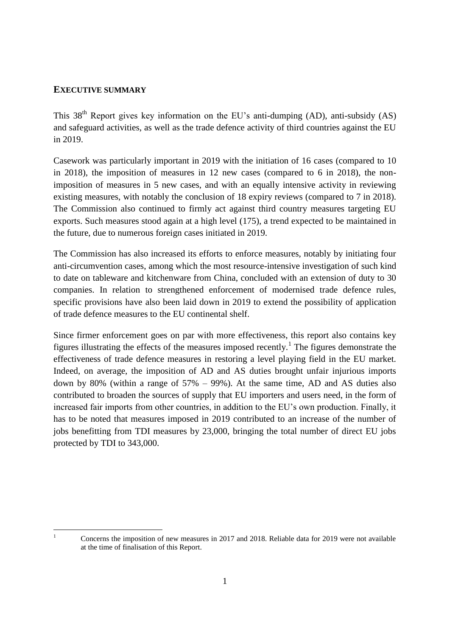#### **EXECUTIVE SUMMARY**

This  $38<sup>th</sup>$  Report gives key information on the EU's anti-dumping (AD), anti-subsidy (AS) and safeguard activities, as well as the trade defence activity of third countries against the EU in 2019.

Casework was particularly important in 2019 with the initiation of 16 cases (compared to 10 in 2018), the imposition of measures in 12 new cases (compared to 6 in 2018), the nonimposition of measures in 5 new cases, and with an equally intensive activity in reviewing existing measures, with notably the conclusion of 18 expiry reviews (compared to 7 in 2018). The Commission also continued to firmly act against third country measures targeting EU exports. Such measures stood again at a high level (175), a trend expected to be maintained in the future, due to numerous foreign cases initiated in 2019.

The Commission has also increased its efforts to enforce measures, notably by initiating four anti-circumvention cases, among which the most resource-intensive investigation of such kind to date on tableware and kitchenware from China, concluded with an extension of duty to 30 companies. In relation to strengthened enforcement of modernised trade defence rules, specific provisions have also been laid down in 2019 to extend the possibility of application of trade defence measures to the EU continental shelf.

Since firmer enforcement goes on par with more effectiveness, this report also contains key figures illustrating the effects of the measures imposed recently.<sup>1</sup> The figures demonstrate the effectiveness of trade defence measures in restoring a level playing field in the EU market. Indeed, on average, the imposition of AD and AS duties brought unfair injurious imports down by 80% (within a range of 57% – 99%). At the same time, AD and AS duties also contributed to broaden the sources of supply that EU importers and users need, in the form of increased fair imports from other countries, in addition to the EU's own production. Finally, it has to be noted that measures imposed in 2019 contributed to an increase of the number of jobs benefitting from TDI measures by 23,000, bringing the total number of direct EU jobs protected by TDI to 343,000.

 $\mathbf{1}$ 

<sup>1</sup> Concerns the imposition of new measures in 2017 and 2018. Reliable data for 2019 were not available at the time of finalisation of this Report.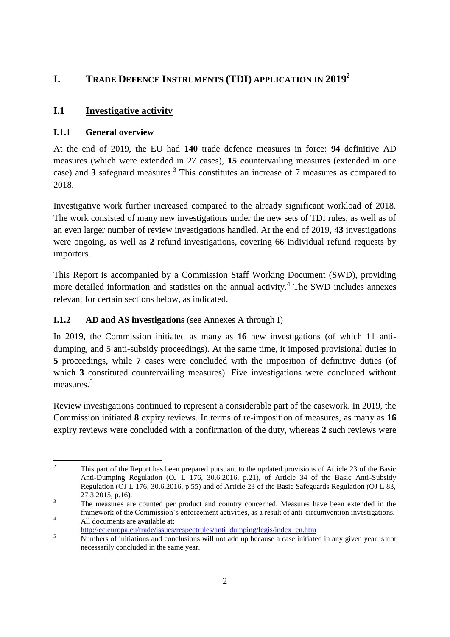# **I. TRADE DEFENCE INSTRUMENTS (TDI) APPLICATION IN 2019<sup>2</sup>**

# **I.1 Investigative activity**

## **I.1.1 General overview**

At the end of 2019, the EU had **140** trade defence measures in force: **94** definitive AD measures (which were extended in 27 cases), **15** countervailing measures (extended in one case) and 3 safeguard measures.<sup>3</sup> This constitutes an increase of 7 measures as compared to 2018.

Investigative work further increased compared to the already significant workload of 2018. The work consisted of many new investigations under the new sets of TDI rules, as well as of an even larger number of review investigations handled. At the end of 2019, **43** investigations were ongoing, as well as **2** refund investigations, covering 66 individual refund requests by importers.

This Report is accompanied by a Commission Staff Working Document (SWD), providing more detailed information and statistics on the annual activity.<sup>4</sup> The SWD includes annexes relevant for certain sections below, as indicated.

## **I.1.2 AD and AS investigations** (see Annexes A through I)

In 2019, the Commission initiated as many as **16** new investigations (of which 11 antidumping, and 5 anti-subsidy proceedings). At the same time, it imposed provisional duties in **5** proceedings, while **7** cases were concluded with the imposition of definitive duties (of which **3** constituted countervailing measures). Five investigations were concluded without measures.<sup>5</sup>

Review investigations continued to represent a considerable part of the casework. In 2019, the Commission initiated **8** expiry reviews. In terms of re-imposition of measures, as many as **16**  expiry reviews were concluded with a confirmation of the duty, whereas **2** such reviews were

 $\overline{2}$ <sup>2</sup> This part of the Report has been prepared pursuant to the updated provisions of Article 23 of the Basic Anti-Dumping Regulation (OJ L 176, 30.6.2016, p.21), of Article 34 of the Basic Anti-Subsidy Regulation (OJ L 176, 30.6.2016, p.55) and of Article 23 of the Basic Safeguards Regulation (OJ L 83, 27.3.2015, p.16).

<sup>&</sup>lt;sup>3</sup> The measures are counted per product and country concerned. Measures have been extended in the framework of the Commission's enforcement activities, as a result of anti-circumvention investigations. 4 All documents are available at:

[http://ec.europa.eu/trade/issues/respectrules/anti\\_dumping/legis/index\\_en.htm](http://ec.europa.eu/trade/issues/respectrules/anti_dumping/legis/index_en.htm)

<sup>&</sup>lt;sup>5</sup><br>Numbers of initiations and conclusions will not add up because a case initiated in any given year is not necessarily concluded in the same year.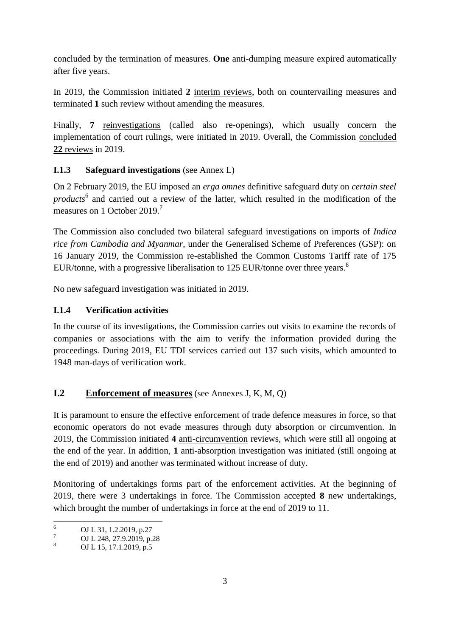concluded by the termination of measures. **One** anti-dumping measure expired automatically after five years.

In 2019, the Commission initiated **2** interim reviews, both on countervailing measures and terminated **1** such review without amending the measures.

Finally, **7** reinvestigations (called also re-openings), which usually concern the implementation of court rulings, were initiated in 2019. Overall, the Commission concluded **22** reviews in 2019.

## **I.1.3 Safeguard investigations** (see Annex L)

On 2 February 2019, the EU imposed an *erga omnes* definitive safeguard duty on *certain steel products*<sup>6</sup> and carried out a review of the latter, which resulted in the modification of the measures on 1 October 2019<sup>7</sup>

The Commission also concluded two bilateral safeguard investigations on imports of *Indica rice from Cambodia and Myanmar*, under the Generalised Scheme of Preferences (GSP): on 16 January 2019, the Commission re-established the Common Customs Tariff rate of 175 EUR/tonne, with a progressive liberalisation to 125 EUR/tonne over three years.<sup>8</sup>

No new safeguard investigation was initiated in 2019.

## **I.1.4 Verification activities**

In the course of its investigations, the Commission carries out visits to examine the records of companies or associations with the aim to verify the information provided during the proceedings. During 2019, EU TDI services carried out 137 such visits, which amounted to 1948 man-days of verification work.

# **I.2 Enforcement of measures**(see Annexes J, K, M, Q)

It is paramount to ensure the effective enforcement of trade defence measures in force, so that economic operators do not evade measures through duty absorption or circumvention. In 2019, the Commission initiated **4** anti-circumvention reviews, which were still all ongoing at the end of the year. In addition, **1** anti-absorption investigation was initiated (still ongoing at the end of 2019) and another was terminated without increase of duty.

Monitoring of undertakings forms part of the enforcement activities. At the beginning of 2019, there were 3 undertakings in force. The Commission accepted **8** new undertakings, which brought the number of undertakings in force at the end of 2019 to 11.

 $\overline{6}$  $^{6}$  OJ L 31, 1.2.2019, p.27

 $\frac{7}{8}$  OJ L 248, 27.9.2019, p.28

OJ L 15, 17.1.2019, p.5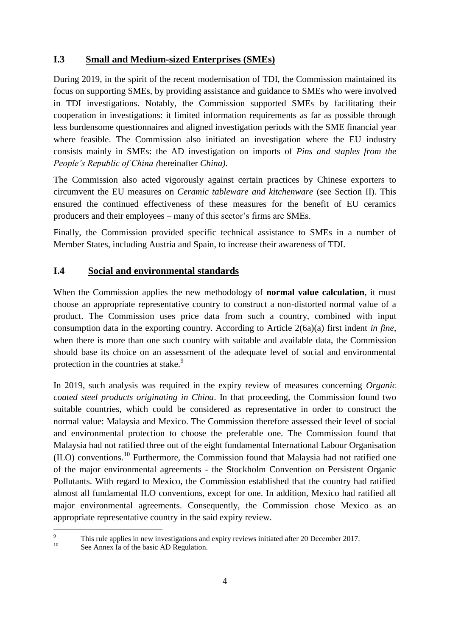### **I.3 Small and Medium-sized Enterprises (SMEs)**

During 2019, in the spirit of the recent modernisation of TDI, the Commission maintained its focus on supporting SMEs, by providing assistance and guidance to SMEs who were involved in TDI investigations. Notably, the Commission supported SMEs by facilitating their cooperation in investigations: it limited information requirements as far as possible through less burdensome questionnaires and aligned investigation periods with the SME financial year where feasible. The Commission also initiated an investigation where the EU industry consists mainly in SMEs: the AD investigation on imports of *Pins and staples from the People's Republic of China (*hereinafter *China)*.

The Commission also acted vigorously against certain practices by Chinese exporters to circumvent the EU measures on *Ceramic tableware and kitchenware* (see Section II). This ensured the continued effectiveness of these measures for the benefit of EU ceramics producers and their employees – many of this sector's firms are SMEs.

Finally, the Commission provided specific technical assistance to SMEs in a number of Member States, including Austria and Spain, to increase their awareness of TDI.

### **I.4 Social and environmental standards**

When the Commission applies the new methodology of **normal value calculation**, it must choose an appropriate representative country to construct a non-distorted normal value of a product. The Commission uses price data from such a country, combined with input consumption data in the exporting country. According to Article 2(6a)(a) first indent *in fine*, when there is more than one such country with suitable and available data, the Commission should base its choice on an assessment of the adequate level of social and environmental protection in the countries at stake.<sup>9</sup>

In 2019, such analysis was required in the expiry review of measures concerning *Organic coated steel products originating in China*. In that proceeding, the Commission found two suitable countries, which could be considered as representative in order to construct the normal value: Malaysia and Mexico. The Commission therefore assessed their level of social and environmental protection to choose the preferable one. The Commission found that Malaysia had not ratified three out of the eight fundamental International Labour Organisation (ILO) conventions.<sup>10</sup> Furthermore, the Commission found that Malaysia had not ratified one of the major environmental agreements - the Stockholm Convention on Persistent Organic Pollutants. With regard to Mexico, the Commission established that the country had ratified almost all fundamental ILO conventions, except for one. In addition, Mexico had ratified all major environmental agreements. Consequently, the Commission chose Mexico as an appropriate representative country in the said expiry review.

 $\overline{Q}$ <sup>9</sup> This rule applies in new investigations and expiry reviews initiated after 20 December 2017.

See Annex Ia of the basic AD Regulation.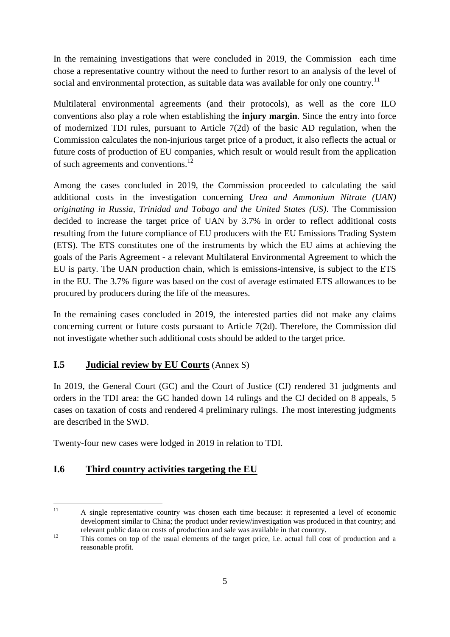In the remaining investigations that were concluded in 2019, the Commission each time chose a representative country without the need to further resort to an analysis of the level of social and environmental protection, as suitable data was available for only one country.<sup>11</sup>

Multilateral environmental agreements (and their protocols), as well as the core ILO conventions also play a role when establishing the **injury margin**. Since the entry into force of modernized TDI rules, pursuant to Article 7(2d) of the basic AD regulation, when the Commission calculates the non-injurious target price of a product, it also reflects the actual or future costs of production of EU companies, which result or would result from the application of such agreements and conventions.<sup>12</sup>

Among the cases concluded in 2019, the Commission proceeded to calculating the said additional costs in the investigation concerning *Urea and Ammonium Nitrate (UAN) originating in Russia, Trinidad and Tobago and the United States (US)*. The Commission decided to increase the target price of UAN by 3.7% in order to reflect additional costs resulting from the future compliance of EU producers with the EU Emissions Trading System (ETS). The ETS constitutes one of the instruments by which the EU aims at achieving the goals of the Paris Agreement - a relevant Multilateral Environmental Agreement to which the EU is party. The UAN production chain, which is emissions-intensive, is subject to the ETS in the EU. The 3.7% figure was based on the cost of average estimated ETS allowances to be procured by producers during the life of the measures.

In the remaining cases concluded in 2019, the interested parties did not make any claims concerning current or future costs pursuant to Article 7(2d). Therefore, the Commission did not investigate whether such additional costs should be added to the target price.

## **I.5 Judicial review by EU Courts** (Annex S)

In 2019, the General Court (GC) and the Court of Justice (CJ) rendered 31 judgments and orders in the TDI area: the GC handed down 14 rulings and the CJ decided on 8 appeals, 5 cases on taxation of costs and rendered 4 preliminary rulings. The most interesting judgments are described in the SWD.

Twenty-four new cases were lodged in 2019 in relation to TDI.

# **I.6 Third country activities targeting the EU**

 $11$ <sup>11</sup> A single representative country was chosen each time because: it represented a level of economic development similar to China; the product under review/investigation was produced in that country; and relevant public data on costs of production and sale was available in that country.

<sup>&</sup>lt;sup>12</sup> This comes on top of the usual elements of the target price, i.e. actual full cost of production and a reasonable profit.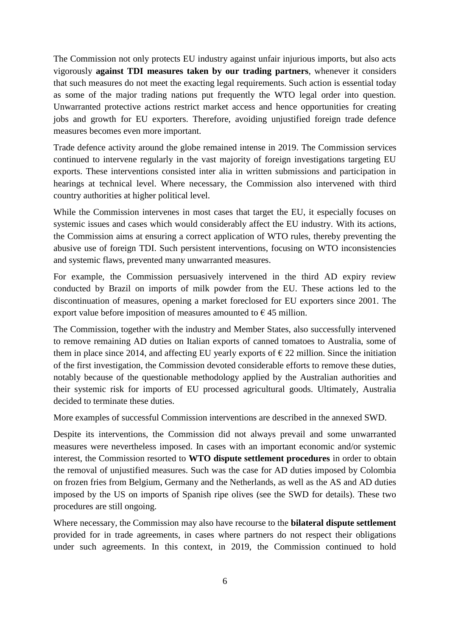The Commission not only protects EU industry against unfair injurious imports, but also acts vigorously **against TDI measures taken by our trading partners**, whenever it considers that such measures do not meet the exacting legal requirements. Such action is essential today as some of the major trading nations put frequently the WTO legal order into question. Unwarranted protective actions restrict market access and hence opportunities for creating jobs and growth for EU exporters. Therefore, avoiding unjustified foreign trade defence measures becomes even more important.

Trade defence activity around the globe remained intense in 2019. The Commission services continued to intervene regularly in the vast majority of foreign investigations targeting EU exports. These interventions consisted inter alia in written submissions and participation in hearings at technical level. Where necessary, the Commission also intervened with third country authorities at higher political level.

While the Commission intervenes in most cases that target the EU, it especially focuses on systemic issues and cases which would considerably affect the EU industry. With its actions, the Commission aims at ensuring a correct application of WTO rules, thereby preventing the abusive use of foreign TDI. Such persistent interventions, focusing on WTO inconsistencies and systemic flaws, prevented many unwarranted measures.

For example, the Commission persuasively intervened in the third AD expiry review conducted by Brazil on imports of milk powder from the EU. These actions led to the discontinuation of measures, opening a market foreclosed for EU exporters since 2001. The export value before imposition of measures amounted to  $\epsilon$  45 million.

The Commission, together with the industry and Member States, also successfully intervened to remove remaining AD duties on Italian exports of canned tomatoes to Australia, some of them in place since 2014, and affecting EU yearly exports of  $\epsilon$  22 million. Since the initiation of the first investigation, the Commission devoted considerable efforts to remove these duties, notably because of the questionable methodology applied by the Australian authorities and their systemic risk for imports of EU processed agricultural goods. Ultimately, Australia decided to terminate these duties.

More examples of successful Commission interventions are described in the annexed SWD.

Despite its interventions, the Commission did not always prevail and some unwarranted measures were nevertheless imposed. In cases with an important economic and/or systemic interest, the Commission resorted to **WTO dispute settlement procedures** in order to obtain the removal of unjustified measures. Such was the case for AD duties imposed by Colombia on frozen fries from Belgium, Germany and the Netherlands, as well as the AS and AD duties imposed by the US on imports of Spanish ripe olives (see the SWD for details). These two procedures are still ongoing.

Where necessary, the Commission may also have recourse to the **bilateral dispute settlement** provided for in trade agreements, in cases where partners do not respect their obligations under such agreements. In this context, in 2019, the Commission continued to hold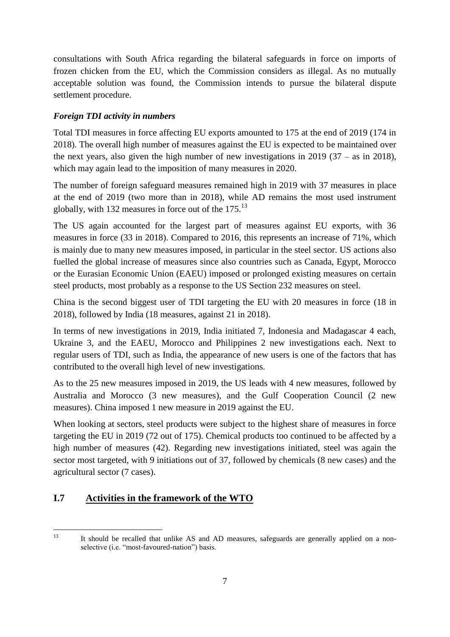consultations with South Africa regarding the bilateral safeguards in force on imports of frozen chicken from the EU, which the Commission considers as illegal. As no mutually acceptable solution was found, the Commission intends to pursue the bilateral dispute settlement procedure.

### *Foreign TDI activity in numbers*

Total TDI measures in force affecting EU exports amounted to 175 at the end of 2019 (174 in 2018). The overall high number of measures against the EU is expected to be maintained over the next years, also given the high number of new investigations in 2019 (37 – as in 2018), which may again lead to the imposition of many measures in 2020.

The number of foreign safeguard measures remained high in 2019 with 37 measures in place at the end of 2019 (two more than in 2018), while AD remains the most used instrument globally, with 132 measures in force out of the  $175<sup>13</sup>$ 

The US again accounted for the largest part of measures against EU exports, with 36 measures in force (33 in 2018). Compared to 2016, this represents an increase of 71%, which is mainly due to many new measures imposed, in particular in the steel sector. US actions also fuelled the global increase of measures since also countries such as Canada, Egypt, Morocco or the Eurasian Economic Union (EAEU) imposed or prolonged existing measures on certain steel products, most probably as a response to the US Section 232 measures on steel.

China is the second biggest user of TDI targeting the EU with 20 measures in force (18 in 2018), followed by India (18 measures, against 21 in 2018).

In terms of new investigations in 2019, India initiated 7, Indonesia and Madagascar 4 each, Ukraine 3, and the EAEU, Morocco and Philippines 2 new investigations each. Next to regular users of TDI, such as India, the appearance of new users is one of the factors that has contributed to the overall high level of new investigations.

As to the 25 new measures imposed in 2019, the US leads with 4 new measures, followed by Australia and Morocco (3 new measures), and the Gulf Cooperation Council (2 new measures). China imposed 1 new measure in 2019 against the EU.

When looking at sectors, steel products were subject to the highest share of measures in force targeting the EU in 2019 (72 out of 175). Chemical products too continued to be affected by a high number of measures (42). Regarding new investigations initiated, steel was again the sector most targeted, with 9 initiations out of 37, followed by chemicals (8 new cases) and the agricultural sector (7 cases).

# **I.7 Activities in the framework of the WTO**

 $13$ It should be recalled that unlike AS and AD measures, safeguards are generally applied on a nonselective (i.e. "most-favoured-nation") basis.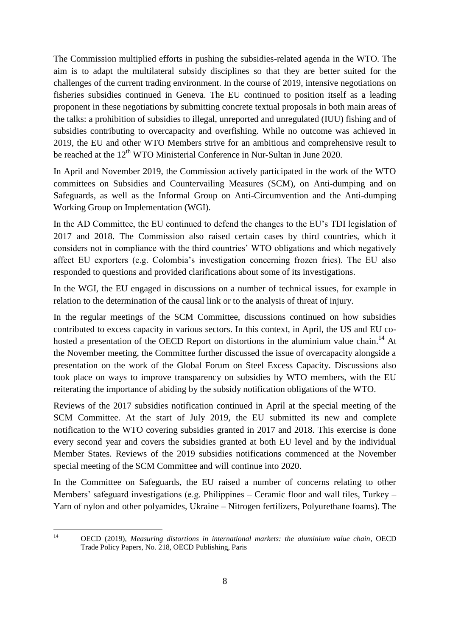The Commission multiplied efforts in pushing the subsidies-related agenda in the WTO. The aim is to adapt the multilateral subsidy disciplines so that they are better suited for the challenges of the current trading environment. In the course of 2019, intensive negotiations on fisheries subsidies continued in Geneva. The EU continued to position itself as a leading proponent in these negotiations by submitting concrete textual proposals in both main areas of the talks: a prohibition of subsidies to illegal, unreported and unregulated (IUU) fishing and of subsidies contributing to overcapacity and overfishing. While no outcome was achieved in 2019, the EU and other WTO Members strive for an ambitious and comprehensive result to be reached at the 12<sup>th</sup> WTO Ministerial Conference in Nur-Sultan in June 2020.

In April and November 2019, the Commission actively participated in the work of the WTO committees on Subsidies and Countervailing Measures (SCM), on Anti-dumping and on Safeguards, as well as the Informal Group on Anti-Circumvention and the Anti-dumping Working Group on Implementation (WGI).

In the AD Committee, the EU continued to defend the changes to the EU's TDI legislation of 2017 and 2018. The Commission also raised certain cases by third countries, which it considers not in compliance with the third countries' WTO obligations and which negatively affect EU exporters (e.g. Colombia's investigation concerning frozen fries). The EU also responded to questions and provided clarifications about some of its investigations.

In the WGI, the EU engaged in discussions on a number of technical issues, for example in relation to the determination of the causal link or to the analysis of threat of injury.

In the regular meetings of the SCM Committee, discussions continued on how subsidies contributed to excess capacity in various sectors. In this context, in April, the US and EU cohosted a presentation of the OECD Report on distortions in the aluminium value chain.<sup>14</sup> At the November meeting, the Committee further discussed the issue of overcapacity alongside a presentation on the work of the Global Forum on Steel Excess Capacity. Discussions also took place on ways to improve transparency on subsidies by WTO members, with the EU reiterating the importance of abiding by the subsidy notification obligations of the WTO.

Reviews of the 2017 subsidies notification continued in April at the special meeting of the SCM Committee. At the start of July 2019, the EU submitted its new and complete notification to the WTO covering subsidies granted in 2017 and 2018. This exercise is done every second year and covers the subsidies granted at both EU level and by the individual Member States. Reviews of the 2019 subsidies notifications commenced at the November special meeting of the SCM Committee and will continue into 2020.

In the Committee on Safeguards, the EU raised a number of concerns relating to other Members' safeguard investigations (e.g. Philippines – Ceramic floor and wall tiles, Turkey – Yarn of nylon and other polyamides, Ukraine – Nitrogen fertilizers, Polyurethane foams). The

 $14$ <sup>14</sup> OECD (2019), *Measuring distortions in international markets: the aluminium value chain*, OECD Trade Policy Papers, No. 218, OECD Publishing, Paris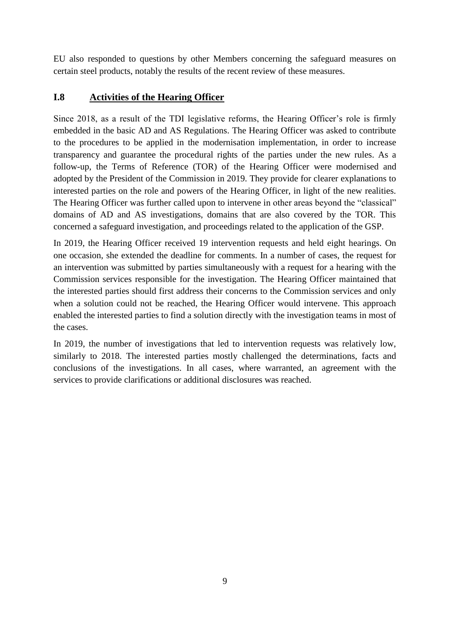EU also responded to questions by other Members concerning the safeguard measures on certain steel products, notably the results of the recent review of these measures.

## **I.8 Activities of the Hearing Officer**

Since 2018, as a result of the TDI legislative reforms, the Hearing Officer's role is firmly embedded in the basic AD and AS Regulations. The Hearing Officer was asked to contribute to the procedures to be applied in the modernisation implementation, in order to increase transparency and guarantee the procedural rights of the parties under the new rules. As a follow-up, the Terms of Reference (TOR) of the Hearing Officer were modernised and adopted by the President of the Commission in 2019. They provide for clearer explanations to interested parties on the role and powers of the Hearing Officer, in light of the new realities. The Hearing Officer was further called upon to intervene in other areas beyond the "classical" domains of AD and AS investigations, domains that are also covered by the TOR. This concerned a safeguard investigation, and proceedings related to the application of the GSP.

In 2019, the Hearing Officer received 19 intervention requests and held eight hearings. On one occasion, she extended the deadline for comments. In a number of cases, the request for an intervention was submitted by parties simultaneously with a request for a hearing with the Commission services responsible for the investigation. The Hearing Officer maintained that the interested parties should first address their concerns to the Commission services and only when a solution could not be reached, the Hearing Officer would intervene. This approach enabled the interested parties to find a solution directly with the investigation teams in most of the cases.

In 2019, the number of investigations that led to intervention requests was relatively low, similarly to 2018. The interested parties mostly challenged the determinations, facts and conclusions of the investigations. In all cases, where warranted, an agreement with the services to provide clarifications or additional disclosures was reached.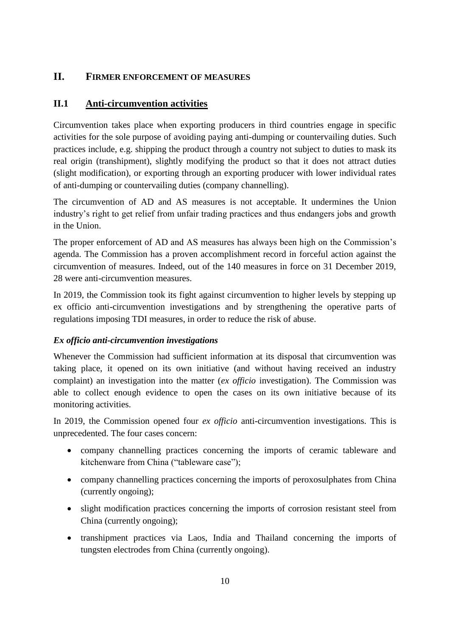## **II. FIRMER ENFORCEMENT OF MEASURES**

## **II.1 Anti-circumvention activities**

Circumvention takes place when exporting producers in third countries engage in specific activities for the sole purpose of avoiding paying anti-dumping or countervailing duties. Such practices include, e.g. shipping the product through a country not subject to duties to mask its real origin (transhipment), slightly modifying the product so that it does not attract duties (slight modification), or exporting through an exporting producer with lower individual rates of anti-dumping or countervailing duties (company channelling).

The circumvention of AD and AS measures is not acceptable. It undermines the Union industry's right to get relief from unfair trading practices and thus endangers jobs and growth in the Union.

The proper enforcement of AD and AS measures has always been high on the Commission's agenda. The Commission has a proven accomplishment record in forceful action against the circumvention of measures. Indeed, out of the 140 measures in force on 31 December 2019, 28 were anti-circumvention measures.

In 2019, the Commission took its fight against circumvention to higher levels by stepping up ex officio anti-circumvention investigations and by strengthening the operative parts of regulations imposing TDI measures, in order to reduce the risk of abuse.

## *Ex officio anti-circumvention investigations*

Whenever the Commission had sufficient information at its disposal that circumvention was taking place, it opened on its own initiative (and without having received an industry complaint) an investigation into the matter (*ex officio* investigation). The Commission was able to collect enough evidence to open the cases on its own initiative because of its monitoring activities.

In 2019, the Commission opened four *ex officio* anti-circumvention investigations. This is unprecedented. The four cases concern:

- company channelling practices concerning the imports of ceramic tableware and kitchenware from China ("tableware case");
- company channelling practices concerning the imports of peroxosulphates from China (currently ongoing);
- slight modification practices concerning the imports of corrosion resistant steel from China (currently ongoing);
- transhipment practices via Laos, India and Thailand concerning the imports of tungsten electrodes from China (currently ongoing).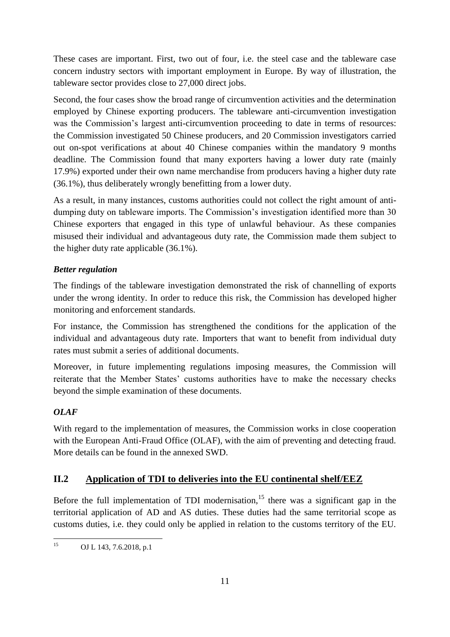These cases are important. First, two out of four, i.e. the steel case and the tableware case concern industry sectors with important employment in Europe. By way of illustration, the tableware sector provides close to 27,000 direct jobs.

Second, the four cases show the broad range of circumvention activities and the determination employed by Chinese exporting producers. The tableware anti-circumvention investigation was the Commission's largest anti-circumvention proceeding to date in terms of resources: the Commission investigated 50 Chinese producers, and 20 Commission investigators carried out on-spot verifications at about 40 Chinese companies within the mandatory 9 months deadline. The Commission found that many exporters having a lower duty rate (mainly 17.9%) exported under their own name merchandise from producers having a higher duty rate (36.1%), thus deliberately wrongly benefitting from a lower duty.

As a result, in many instances, customs authorities could not collect the right amount of antidumping duty on tableware imports. The Commission's investigation identified more than 30 Chinese exporters that engaged in this type of unlawful behaviour. As these companies misused their individual and advantageous duty rate, the Commission made them subject to the higher duty rate applicable (36.1%).

#### *Better regulation*

The findings of the tableware investigation demonstrated the risk of channelling of exports under the wrong identity. In order to reduce this risk, the Commission has developed higher monitoring and enforcement standards.

For instance, the Commission has strengthened the conditions for the application of the individual and advantageous duty rate. Importers that want to benefit from individual duty rates must submit a series of additional documents.

Moreover, in future implementing regulations imposing measures, the Commission will reiterate that the Member States' customs authorities have to make the necessary checks beyond the simple examination of these documents.

#### *OLAF*

With regard to the implementation of measures, the Commission works in close cooperation with the European Anti-Fraud Office (OLAF), with the aim of preventing and detecting fraud. More details can be found in the annexed SWD.

#### **II.2 Application of TDI to deliveries into the EU continental shelf/EEZ**

Before the full implementation of TDI modernisation,<sup>15</sup> there was a significant gap in the territorial application of AD and AS duties. These duties had the same territorial scope as customs duties, i.e. they could only be applied in relation to the customs territory of the EU.

 $15$ OJ L 143, 7.6.2018, p.1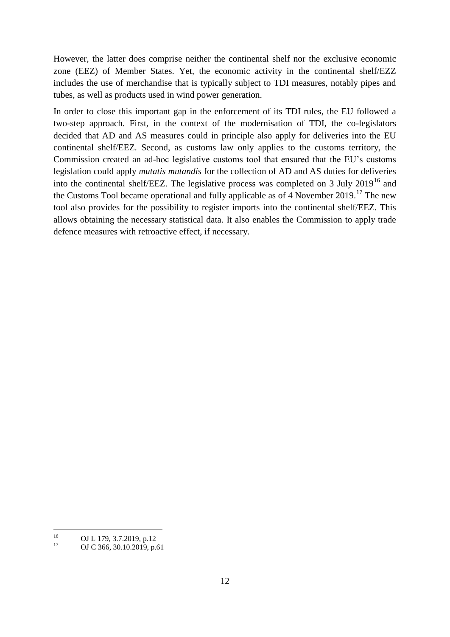However, the latter does comprise neither the continental shelf nor the exclusive economic zone (EEZ) of Member States. Yet, the economic activity in the continental shelf/EZZ includes the use of merchandise that is typically subject to TDI measures, notably pipes and tubes, as well as products used in wind power generation.

In order to close this important gap in the enforcement of its TDI rules, the EU followed a two-step approach. First, in the context of the modernisation of TDI, the co-legislators decided that AD and AS measures could in principle also apply for deliveries into the EU continental shelf/EEZ. Second, as customs law only applies to the customs territory, the Commission created an ad-hoc legislative customs tool that ensured that the EU's customs legislation could apply *mutatis mutandis* for the collection of AD and AS duties for deliveries into the continental shelf/EEZ. The legislative process was completed on 3 July  $2019^{16}$  and the Customs Tool became operational and fully applicable as of 4 November 2019.<sup>17</sup> The new tool also provides for the possibility to register imports into the continental shelf/EEZ. This allows obtaining the necessary statistical data. It also enables the Commission to apply trade defence measures with retroactive effect, if necessary.

<sup>16</sup>  $^{16}$  OJ L 179, 3.7.2019, p.12

OJ C 366, 30.10.2019, p.61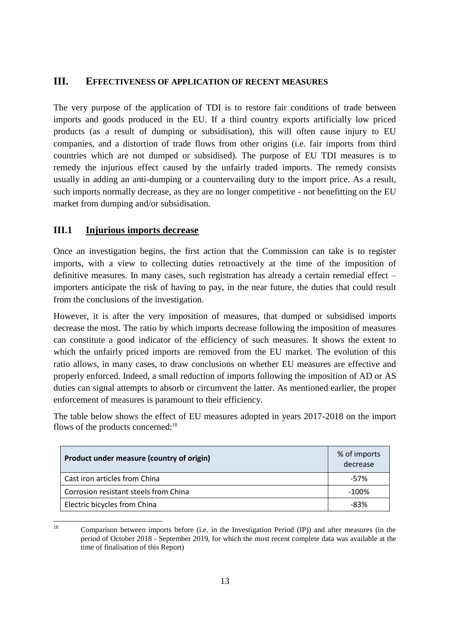#### **III. EFFECTIVENESS OF APPLICATION OF RECENT MEASURES**

The very purpose of the application of TDI is to restore fair conditions of trade between imports and goods produced in the EU. If a third country exports artificially low priced products (as a result of dumping or subsidisation), this will often cause injury to EU companies, and a distortion of trade flows from other origins (i.e. fair imports from third countries which are not dumped or subsidised). The purpose of EU TDI measures is to remedy the injurious effect caused by the unfairly traded imports. The remedy consists usually in adding an anti-dumping or a countervailing duty to the import price. As a result, such imports normally decrease, as they are no longer competitive - not benefitting on the EU market from dumping and/or subsidisation.

#### **III.1 Injurious imports decrease**

Once an investigation begins, the first action that the Commission can take is to register imports, with a view to collecting duties retroactively at the time of the imposition of definitive measures. In many cases, such registration has already a certain remedial effect – importers anticipate the risk of having to pay, in the near future, the duties that could result from the conclusions of the investigation.

However, it is after the very imposition of measures, that dumped or subsidised imports decrease the most. The ratio by which imports decrease following the imposition of measures can constitute a good indicator of the efficiency of such measures. It shows the extent to which the unfairly priced imports are removed from the EU market. The evolution of this ratio allows, in many cases, to draw conclusions on whether EU measures are effective and properly enforced. Indeed, a small reduction of imports following the imposition of AD or AS duties can signal attempts to absorb or circumvent the latter. As mentioned earlier, the proper enforcement of measures is paramount to their efficiency.

The table below shows the effect of EU measures adopted in years 2017-2018 on the import flows of the products concerned:<sup>18</sup>

| Product under measure (country of origin) | % of imports<br>decrease |
|-------------------------------------------|--------------------------|
| Cast iron articles from China             | -57%                     |
| Corrosion resistant steels from China     | $-100\%$                 |
| Electric bicycles from China              | -83%                     |

 $18$ <sup>18</sup> Comparison between imports before (i.e. in the Investigation Period (IP)) and after measures (in the period of October 2018 - September 2019, for which the most recent complete data was available at the time of finalisation of this Report)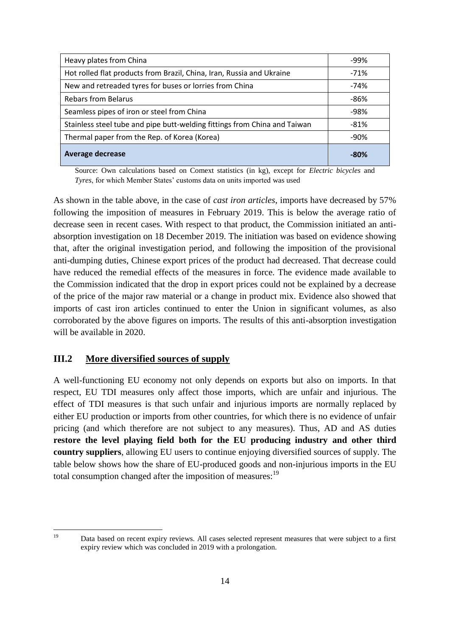| Heavy plates from China                                                   | -99%   |
|---------------------------------------------------------------------------|--------|
| Hot rolled flat products from Brazil, China, Iran, Russia and Ukraine     | $-71%$ |
| New and retreaded tyres for buses or lorries from China                   | $-74%$ |
| <b>Rebars from Belarus</b>                                                | -86%   |
| Seamless pipes of iron or steel from China                                | -98%   |
| Stainless steel tube and pipe butt-welding fittings from China and Taiwan | $-81%$ |
| Thermal paper from the Rep. of Korea (Korea)                              | -90%   |
| <b>Average decrease</b>                                                   | $-80%$ |

Source: Own calculations based on Comext statistics (in kg), except for *Electric bicycles* and *Tyres*, for which Member States' customs data on units imported was used

As shown in the table above, in the case of *cast iron articles*, imports have decreased by 57% following the imposition of measures in February 2019. This is below the average ratio of decrease seen in recent cases. With respect to that product, the Commission initiated an antiabsorption investigation on 18 December 2019. The initiation was based on evidence showing that, after the original investigation period, and following the imposition of the provisional anti-dumping duties, Chinese export prices of the product had decreased. That decrease could have reduced the remedial effects of the measures in force. The evidence made available to the Commission indicated that the drop in export prices could not be explained by a decrease of the price of the major raw material or a change in product mix. Evidence also showed that imports of cast iron articles continued to enter the Union in significant volumes, as also corroborated by the above figures on imports. The results of this anti-absorption investigation will be available in 2020.

#### **III.2 More diversified sources of supply**

A well-functioning EU economy not only depends on exports but also on imports. In that respect, EU TDI measures only affect those imports, which are unfair and injurious. The effect of TDI measures is that such unfair and injurious imports are normally replaced by either EU production or imports from other countries, for which there is no evidence of unfair pricing (and which therefore are not subject to any measures). Thus, AD and AS duties **restore the level playing field both for the EU producing industry and other third country suppliers**, allowing EU users to continue enjoying diversified sources of supply. The table below shows how the share of EU-produced goods and non-injurious imports in the EU total consumption changed after the imposition of measures:<sup>19</sup>

 $19$ 

Data based on recent expiry reviews. All cases selected represent measures that were subject to a first expiry review which was concluded in 2019 with a prolongation.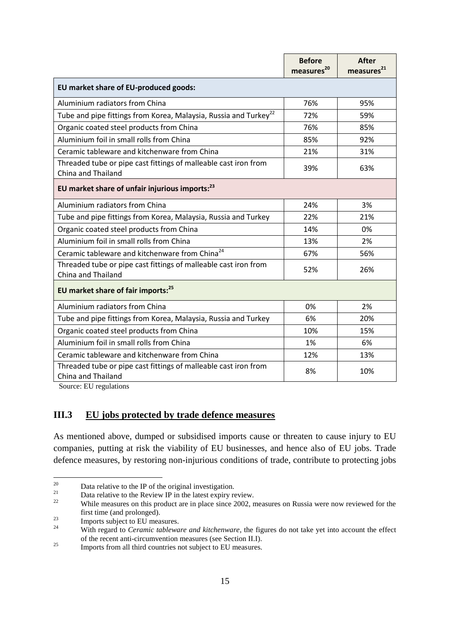|                                                                                       | <b>Before</b><br>measures <sup>20</sup> | After<br>measures <sup>21</sup> |  |
|---------------------------------------------------------------------------------------|-----------------------------------------|---------------------------------|--|
| EU market share of EU-produced goods:                                                 |                                         |                                 |  |
| Aluminium radiators from China                                                        | 76%                                     | 95%                             |  |
| Tube and pipe fittings from Korea, Malaysia, Russia and Turkey <sup>22</sup>          | 72%                                     | 59%                             |  |
| Organic coated steel products from China                                              | 76%                                     | 85%                             |  |
| Aluminium foil in small rolls from China                                              | 85%                                     | 92%                             |  |
| Ceramic tableware and kitchenware from China                                          | 21%                                     | 31%                             |  |
| Threaded tube or pipe cast fittings of malleable cast iron from<br>China and Thailand | 39%                                     | 63%                             |  |
| EU market share of unfair injurious imports: <sup>23</sup>                            |                                         |                                 |  |
| Aluminium radiators from China                                                        | 24%                                     | 3%                              |  |
| Tube and pipe fittings from Korea, Malaysia, Russia and Turkey                        | 22%                                     | 21%                             |  |
| Organic coated steel products from China                                              | 14%                                     | 0%                              |  |
| Aluminium foil in small rolls from China                                              | 13%                                     | 2%                              |  |
| Ceramic tableware and kitchenware from China <sup>24</sup>                            | 67%                                     | 56%                             |  |
| Threaded tube or pipe cast fittings of malleable cast iron from<br>China and Thailand | 52%                                     | 26%                             |  |
| EU market share of fair imports: <sup>25</sup>                                        |                                         |                                 |  |
| Aluminium radiators from China                                                        | 0%                                      | 2%                              |  |
| Tube and pipe fittings from Korea, Malaysia, Russia and Turkey                        | 6%                                      | 20%                             |  |
| Organic coated steel products from China                                              | 10%                                     | 15%                             |  |
| Aluminium foil in small rolls from China                                              | 1%                                      | 6%                              |  |
| Ceramic tableware and kitchenware from China                                          | 12%                                     | 13%                             |  |
| Threaded tube or pipe cast fittings of malleable cast iron from<br>China and Thailand | 8%                                      | 10%                             |  |

Source: EU regulations

#### **III.3 EU jobs protected by trade defence measures**

As mentioned above, dumped or subsidised imports cause or threaten to cause injury to EU companies, putting at risk the viability of EU businesses, and hence also of EU jobs. Trade defence measures, by restoring non-injurious conditions of trade, contribute to protecting jobs

<sup>20</sup> <sup>20</sup> Data relative to the IP of the original investigation.<br>
Deta relative to the Deview ID in the latest evolves in

<sup>&</sup>lt;sup>21</sup> Data relative to the Review IP in the latest expiry review.<br>While measures on this product are in place since  $2002_{\text{cm}}$ 

While measures on this product are in place since 2002, measures on Russia were now reviewed for the first time (and prolonged).

 $\frac{23}{24}$  Imports subject to EU measures.

<sup>24</sup> With regard to *Ceramic tableware and kitchenware*, the figures do not take yet into account the effect of the recent anti-circumvention measures (see Section II.I).

<sup>&</sup>lt;sup>25</sup> Imports from all third countries not subject to EU measures.